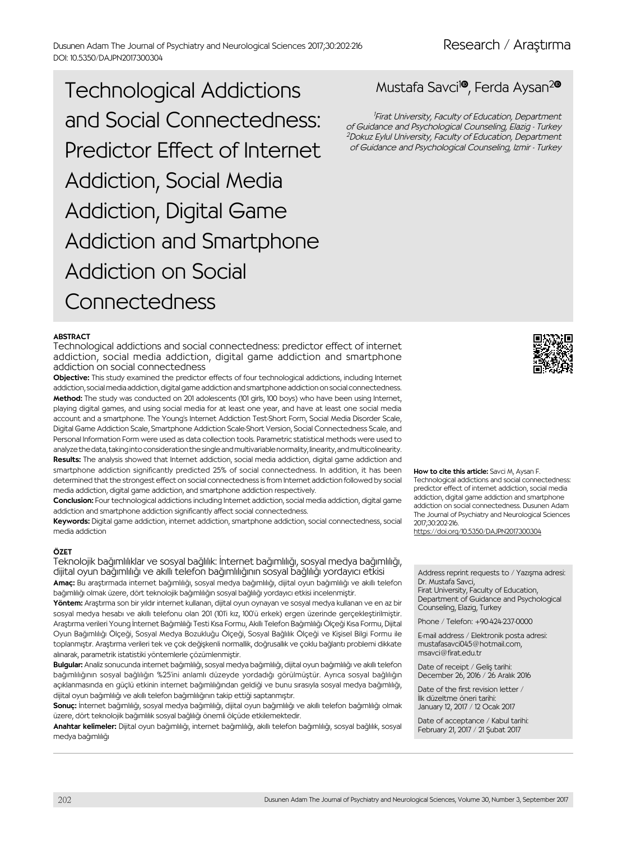Dusunen Adam The Journal of Psychiatry and Neurological Sciences 2017;30:202-216 DOI: 10.5350/DAJPN2017300304

Technological Addictions and Social Connectedness: Predictor Effect of Internet Addiction, Social Media Addiction, Digital Game Addiction and Smartphone Addiction on Social Connectedness

#### **ABSTRACT**

Technological addictions and social connectedness: predictor effect of internet addiction, social media addiction, digital game addiction and smartphone addiction on social connectedness

Objective: This study examined the predictor effects of four technological addictions, including Internet addiction, social media addiction, digital game addiction and smartphone addiction on social connectedness. Method: The study was conducted on 201 adolescents (101 girls, 100 boys) who have been using Internet, playing digital games, and using social media for at least one year, and have at least one social media account and a smartphone. The Young's Internet Addiction Test-Short Form, Social Media Disorder Scale, Digital Game Addiction Scale, Smartphone Addiction Scale-Short Version, Social Connectedness Scale, and Personal Information Form were used as data collection tools. Parametric statistical methods were used to analyze the data, taking into consideration the single and multivariable normality, linearity, and multicolinearity. Results: The analysis showed that Internet addiction, social media addiction, digital game addiction and smartphone addiction significantly predicted 25% of social connectedness. In addition, it has been determined that the strongest effect on social connectedness is from Internet addiction followed by social media addiction, digital game addiction, and smartphone addiction respectively.

Conclusion: Four technological addictions including Internet addiction, social media addiction, digital game addiction and smartphone addiction significantly affect social connectedness.

Keywords: Digital game addiction, internet addiction, smartphone addiction, social connectedness, social media addiction

#### ÖZET

Teknolojik bağımlılıklar ve sosyal bağlılık: İnternet bağımlılığı, sosyal medya bağımlılığı, dijital oyun bağımlılığı ve akıllı telefon bağımlılığının sosyal bağlılığı yordayıcı etkisi Amaç: Bu araştırmada internet bağımlılığı, sosyal medya bağımlılığı, dijital oyun bağımlılığı ve akıllı telefon

bağımlılığı olmak üzere, dört teknolojik bağımlılığın sosyal bağlılığı yordayıcı etkisi incelenmiştir. Yöntem: Arastırma son bir yıldır internet kullanan, dijital oyun oynayan ve sosyal medya kullanan ve en az bir

sosyal medya hesabı ve akıllı telefonu olan 201 (101'i kız, 100'ü erkek) ergen üzerinde gerçekleştirilmiştir. Araştırma verileri Young İnternet Bağımlılığı Testi Kısa Formu, Akıllı Telefon Bağımlılığı Ölçeği Kısa Formu, Dijital Oyun Bağımlılığı Ölçeği, Sosyal Medya Bozukluğu Ölçeği, Sosyal Bağlılık Ölçeği ve Kişisel Bilgi Formu ile toplanmıştır. Araştırma verileri tek ve çok değişkenli normallik, doğrusallık ve çoklu bağlantı problemi dikkate alınarak, parametrik istatistiki yöntemlerle çözümlenmiştir.

Bulgular: Analiz sonucunda internet bağımlılığı, sosyal medya bağımlılığı, dijital oyun bağımlılığı ve akıllı telefon bağımlılığının sosyal bağlılığın %25'ini anlamlı düzeyde yordadığı görülmüştür. Ayrıca sosyal bağlılığın açıklanmasında en güçlü etkinin internet bağımlılığından geldiği ve bunu sırasıyla sosyal medya bağımlılığı, dijital oyun bağımlılığı ve akıllı telefon bağımlılığının takip ettiği saptanmıştır.

Sonuç: İnternet bağımlılığı, sosyal medya bağımlılığı, dijital oyun bağımlılığı ve akıllı telefon bağımlılığı olmak üzere, dört teknolojik bağımlılık sosyal bağlılığı önemli ölçüde etkilemektedir.

Anahtar kelimeler: Dijital oyun bağımlılığı, internet bağımlılığı, akıllı telefon bağımlılığı, sosyal bağlılık, sosyal medya bağımlılığı

# Mustafa Savci<sup>10</sup>, Ferda Aysan<sup>20</sup>

1 Firat University, Faculty of Education, Department of Guidance and Psychological Counseling, Elazig - Turkey <sup>2</sup>Dokuz Eylul University, Faculty of Education, Department of Guidance and Psychological Counseling, Izmir - Turkey



How to cite this article: Savci M, Aysan F. Technological addictions and social connectedness: predictor effect of internet addiction, social media addiction, digital game addiction and smartphone addiction on social connectedness. Dusunen Adam The Journal of Psychiatry and Neurological Sciences 2017;30:202-216.

https://doi.org/[10.5350/DAJPN2017300304](https://doi.org/10.5350/DAJPN2017300304)

Address reprint requests to / Yazışma adresi: Dr. Mustafa Savci,

Firat University, Faculty of Education, Department of Guidance and Psychological Counseling, Elazig, Turkey

Phone / Telefon: +90-424-237-0000

E-mail address / Elektronik posta adresi: mustafasavci045@hotmail.com, msavci@firat.edu.tr

Date of receipt / Geliş tarihi: December 26, 2016 / 26 Aralık 2016

Date of the first revision letter / İlk düzeltme öneri tarihi: January 12, 2017 / 12 Ocak 2017

Date of acceptance / Kabul tarihi: February 21, 2017 / 21 Şubat 2017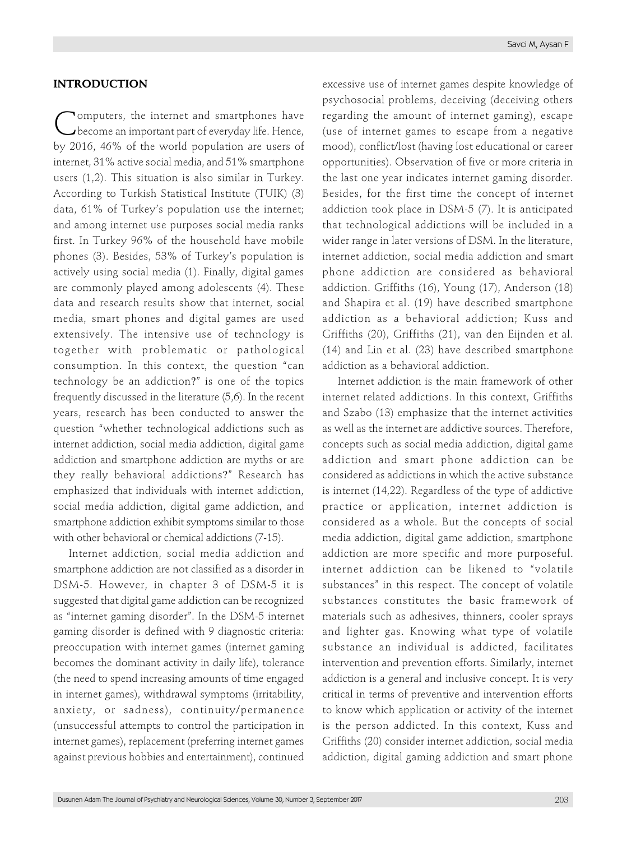## **INTRODUCTION**

Computers, the internet and smartphones have become an important part of everyday life. Hence, by 2016, 46% of the world population are users of internet, 31% active social media, and 51% smartphone users (1,2). This situation is also similar in Turkey. According to Turkish Statistical Institute (TUIK) (3) data, 61% of Turkey's population use the internet; and among internet use purposes social media ranks first. In Turkey 96% of the household have mobile phones (3). Besides, 53% of Turkey's population is actively using social media (1). Finally, digital games are commonly played among adolescents (4). These data and research results show that internet, social media, smart phones and digital games are used extensively. The intensive use of technology is together with problematic or pathological consumption. In this context, the question "can technology be an addiction?" is one of the topics frequently discussed in the literature (5,6). In the recent years, research has been conducted to answer the question "whether technological addictions such as internet addiction, social media addiction, digital game addiction and smartphone addiction are myths or are they really behavioral addictions?" Research has emphasized that individuals with internet addiction, social media addiction, digital game addiction, and smartphone addiction exhibit symptoms similar to those with other behavioral or chemical addictions (7-15).

Internet addiction, social media addiction and smartphone addiction are not classified as a disorder in DSM-5. However, in chapter 3 of DSM-5 it is suggested that digital game addiction can be recognized as "internet gaming disorder". In the DSM-5 internet gaming disorder is defined with 9 diagnostic criteria: preoccupation with internet games (internet gaming becomes the dominant activity in daily life), tolerance (the need to spend increasing amounts of time engaged in internet games), withdrawal symptoms (irritability, anxiety, or sadness), continuity/permanence (unsuccessful attempts to control the participation in internet games), replacement (preferring internet games against previous hobbies and entertainment), continued

excessive use of internet games despite knowledge of psychosocial problems, deceiving (deceiving others regarding the amount of internet gaming), escape (use of internet games to escape from a negative mood), conflict/lost (having lost educational or career opportunities). Observation of five or more criteria in the last one year indicates internet gaming disorder. Besides, for the first time the concept of internet addiction took place in DSM-5 (7). It is anticipated that technological addictions will be included in a wider range in later versions of DSM. In the literature, internet addiction, social media addiction and smart phone addiction are considered as behavioral addiction. Griffiths (16), Young (17), Anderson (18) and Shapira et al. (19) have described smartphone addiction as a behavioral addiction; Kuss and Griffiths (20), Griffiths (21), van den Eijnden et al. (14) and Lin et al. (23) have described smartphone addiction as a behavioral addiction.

Internet addiction is the main framework of other internet related addictions. In this context, Griffiths and Szabo (13) emphasize that the internet activities as well as the internet are addictive sources. Therefore, concepts such as social media addiction, digital game addiction and smart phone addiction can be considered as addictions in which the active substance is internet (14,22). Regardless of the type of addictive practice or application, internet addiction is considered as a whole. But the concepts of social media addiction, digital game addiction, smartphone addiction are more specific and more purposeful. internet addiction can be likened to "volatile substances" in this respect. The concept of volatile substances constitutes the basic framework of materials such as adhesives, thinners, cooler sprays and lighter gas. Knowing what type of volatile substance an individual is addicted, facilitates intervention and prevention efforts. Similarly, internet addiction is a general and inclusive concept. It is very critical in terms of preventive and intervention efforts to know which application or activity of the internet is the person addicted. In this context, Kuss and Griffiths (20) consider internet addiction, social media addiction, digital gaming addiction and smart phone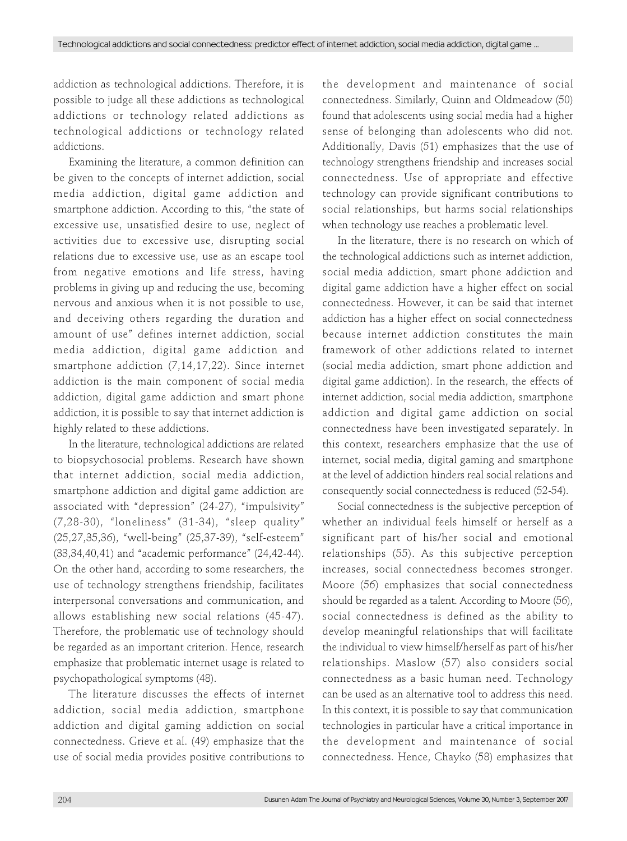addiction as technological addictions. Therefore, it is possible to judge all these addictions as technological addictions or technology related addictions as technological addictions or technology related addictions.

Examining the literature, a common definition can be given to the concepts of internet addiction, social media addiction, digital game addiction and smartphone addiction. According to this, "the state of excessive use, unsatisfied desire to use, neglect of activities due to excessive use, disrupting social relations due to excessive use, use as an escape tool from negative emotions and life stress, having problems in giving up and reducing the use, becoming nervous and anxious when it is not possible to use, and deceiving others regarding the duration and amount of use" defines internet addiction, social media addiction, digital game addiction and smartphone addiction (7,14,17,22). Since internet addiction is the main component of social media addiction, digital game addiction and smart phone addiction, it is possible to say that internet addiction is highly related to these addictions.

In the literature, technological addictions are related to biopsychosocial problems. Research have shown that internet addiction, social media addiction, smartphone addiction and digital game addiction are associated with "depression" (24-27), "impulsivity" (7,28-30), "loneliness" (31-34), "sleep quality" (25,27,35,36), "well-being" (25,37-39), "self-esteem" (33,34,40,41) and "academic performance" (24,42-44). On the other hand, according to some researchers, the use of technology strengthens friendship, facilitates interpersonal conversations and communication, and allows establishing new social relations (45-47). Therefore, the problematic use of technology should be regarded as an important criterion. Hence, research emphasize that problematic internet usage is related to psychopathological symptoms (48).

The literature discusses the effects of internet addiction, social media addiction, smartphone addiction and digital gaming addiction on social connectedness. Grieve et al. (49) emphasize that the use of social media provides positive contributions to

the development and maintenance of social connectedness. Similarly, Quinn and Oldmeadow (50) found that adolescents using social media had a higher sense of belonging than adolescents who did not. Additionally, Davis (51) emphasizes that the use of technology strengthens friendship and increases social connectedness. Use of appropriate and effective technology can provide significant contributions to social relationships, but harms social relationships when technology use reaches a problematic level.

In the literature, there is no research on which of the technological addictions such as internet addiction, social media addiction, smart phone addiction and digital game addiction have a higher effect on social connectedness. However, it can be said that internet addiction has a higher effect on social connectedness because internet addiction constitutes the main framework of other addictions related to internet (social media addiction, smart phone addiction and digital game addiction). In the research, the effects of internet addiction, social media addiction, smartphone addiction and digital game addiction on social connectedness have been investigated separately. In this context, researchers emphasize that the use of internet, social media, digital gaming and smartphone at the level of addiction hinders real social relations and consequently social connectedness is reduced (52-54).

Social connectedness is the subjective perception of whether an individual feels himself or herself as a significant part of his/her social and emotional relationships (55). As this subjective perception increases, social connectedness becomes stronger. Moore (56) emphasizes that social connectedness should be regarded as a talent. According to Moore (56), social connectedness is defined as the ability to develop meaningful relationships that will facilitate the individual to view himself/herself as part of his/her relationships. Maslow (57) also considers social connectedness as a basic human need. Technology can be used as an alternative tool to address this need. In this context, it is possible to say that communication technologies in particular have a critical importance in the development and maintenance of social connectedness. Hence, Chayko (58) emphasizes that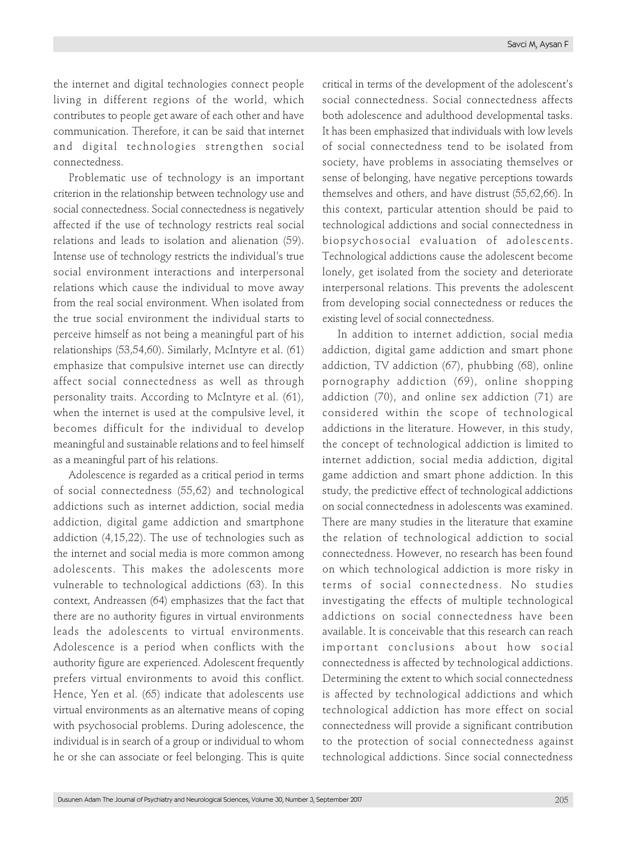the internet and digital technologies connect people living in different regions of the world, which contributes to people get aware of each other and have communication. Therefore, it can be said that internet and digital technologies strengthen social connectedness.

Problematic use of technology is an important criterion in the relationship between technology use and social connectedness. Social connectedness is negatively affected if the use of technology restricts real social relations and leads to isolation and alienation (59). Intense use of technology restricts the individual's true social environment interactions and interpersonal relations which cause the individual to move away from the real social environment. When isolated from the true social environment the individual starts to perceive himself as not being a meaningful part of his relationships (53,54,60). Similarly, McIntyre et al. (61) emphasize that compulsive internet use can directly affect social connectedness as well as through personality traits. According to McIntyre et al. (61), when the internet is used at the compulsive level, it becomes difficult for the individual to develop meaningful and sustainable relations and to feel himself as a meaningful part of his relations.

Adolescence is regarded as a critical period in terms of social connectedness (55,62) and technological addictions such as internet addiction, social media addiction, digital game addiction and smartphone addiction (4,15,22). The use of technologies such as the internet and social media is more common among adolescents. This makes the adolescents more vulnerable to technological addictions (63). In this context, Andreassen (64) emphasizes that the fact that there are no authority figures in virtual environments leads the adolescents to virtual environments. Adolescence is a period when conflicts with the authority figure are experienced. Adolescent frequently prefers virtual environments to avoid this conflict. Hence, Yen et al. (65) indicate that adolescents use virtual environments as an alternative means of coping with psychosocial problems. During adolescence, the individual is in search of a group or individual to whom he or she can associate or feel belonging. This is quite

critical in terms of the development of the adolescent's social connectedness. Social connectedness affects both adolescence and adulthood developmental tasks. It has been emphasized that individuals with low levels of social connectedness tend to be isolated from society, have problems in associating themselves or sense of belonging, have negative perceptions towards themselves and others, and have distrust (55,62,66). In this context, particular attention should be paid to technological addictions and social connectedness in biopsychosocial evaluation of adolescents. Technological addictions cause the adolescent become lonely, get isolated from the society and deteriorate interpersonal relations. This prevents the adolescent from developing social connectedness or reduces the existing level of social connectedness.

In addition to internet addiction, social media addiction, digital game addiction and smart phone addiction, TV addiction (67), phubbing (68), online pornography addiction (69), online shopping addiction (70), and online sex addiction (71) are considered within the scope of technological addictions in the literature. However, in this study, the concept of technological addiction is limited to internet addiction, social media addiction, digital game addiction and smart phone addiction. In this study, the predictive effect of technological addictions on social connectedness in adolescents was examined. There are many studies in the literature that examine the relation of technological addiction to social connectedness. However, no research has been found on which technological addiction is more risky in terms of social connectedness. No studies investigating the effects of multiple technological addictions on social connectedness have been available. It is conceivable that this research can reach important conclusions about how social connectedness is affected by technological addictions. Determining the extent to which social connectedness is affected by technological addictions and which technological addiction has more effect on social connectedness will provide a significant contribution to the protection of social connectedness against technological addictions. Since social connectedness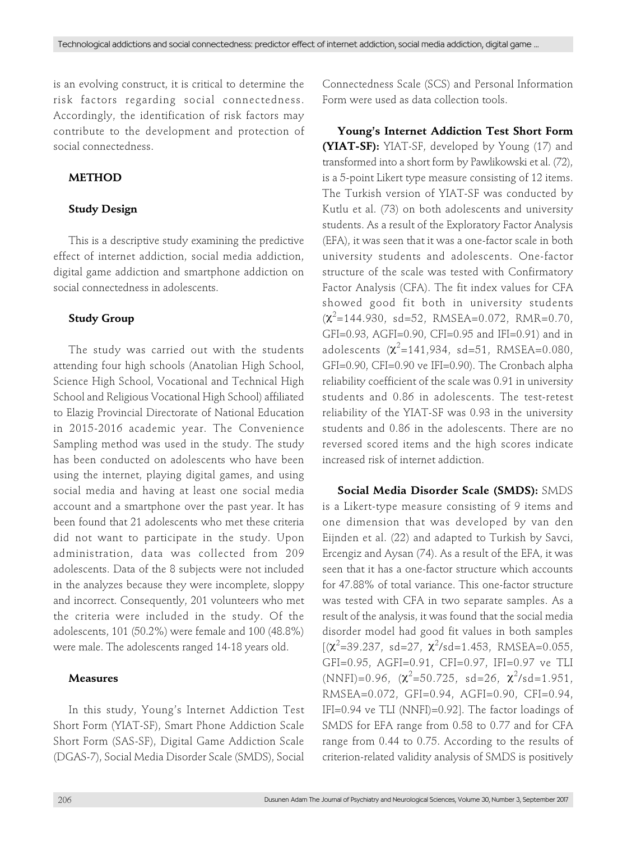is an evolving construct, it is critical to determine the risk factors regarding social connectedness. Accordingly, the identification of risk factors may contribute to the development and protection of social connectedness.

## **METHOD**

## **Study Design**

This is a descriptive study examining the predictive effect of internet addiction, social media addiction, digital game addiction and smartphone addiction on social connectedness in adolescents.

## **Study Group**

The study was carried out with the students attending four high schools (Anatolian High School, Science High School, Vocational and Technical High School and Religious Vocational High School) affiliated to Elazig Provincial Directorate of National Education in 2015-2016 academic year. The Convenience Sampling method was used in the study. The study has been conducted on adolescents who have been using the internet, playing digital games, and using social media and having at least one social media account and a smartphone over the past year. It has been found that 21 adolescents who met these criteria did not want to participate in the study. Upon administration, data was collected from 209 adolescents. Data of the 8 subjects were not included in the analyzes because they were incomplete, sloppy and incorrect. Consequently, 201 volunteers who met the criteria were included in the study. Of the adolescents, 101 (50.2%) were female and 100 (48.8%) were male. The adolescents ranged 14-18 years old.

# **Measures**

In this study, Young's Internet Addiction Test Short Form (YIAT-SF), Smart Phone Addiction Scale Short Form (SAS-SF), Digital Game Addiction Scale (DGAS-7), Social Media Disorder Scale (SMDS), Social Connectedness Scale (SCS) and Personal Information Form were used as data collection tools.

**Young's Internet Addiction Test Short Form (YIAT-SF):** YIAT-SF, developed by Young (17) and transformed into a short form by Pawlikowski et al. (72), is a 5-point Likert type measure consisting of 12 items. The Turkish version of YIAT-SF was conducted by Kutlu et al. (73) on both adolescents and university students. As a result of the Exploratory Factor Analysis (EFA), it was seen that it was a one-factor scale in both university students and adolescents. One-factor structure of the scale was tested with Confirmatory Factor Analysis (CFA). The fit index values for CFA showed good fit both in university students  $(\chi^2=144.930, sd=52, RMSEA=0.072, RMR=0.70,$ GFI=0.93, AGFI=0.90, CFI=0.95 and IFI=0.91) and in adolescents  $(\chi^2=141, 934, \text{ sd}=51, \text{RMSEA}=0.080,$ GFI=0.90, CFI=0.90 ve IFI=0.90). The Cronbach alpha reliability coefficient of the scale was 0.91 in university students and 0.86 in adolescents. The test-retest reliability of the YIAT-SF was 0.93 in the university students and 0.86 in the adolescents. There are no reversed scored items and the high scores indicate increased risk of internet addiction.

**Social Media Disorder Scale (SMDS):** SMDS is a Likert-type measure consisting of 9 items and one dimension that was developed by van den Eijnden et al. (22) and adapted to Turkish by Savci, Ercengiz and Aysan (74). As a result of the EFA, it was seen that it has a one-factor structure which accounts for 47.88% of total variance. This one-factor structure was tested with CFA in two separate samples. As a result of the analysis, it was found that the social media disorder model had good fit values in both samples  $[(x^2=39.237, sd=27, x^2/sd=1.453, RMSEA=0.055,$ GFI=0.95, AGFI=0.91, CFI=0.97, IFI=0.97 ve TLI  $(NNFI) = 0.96$ ,  $(\chi^2 = 50.725$ , sd=26,  $\chi^2$ /sd=1.951, RMSEA=0.072, GFI=0.94, AGFI=0.90, CFI=0.94, IFI=0.94 ve TLI (NNFI)=0.92]. The factor loadings of SMDS for EFA range from 0.58 to 0.77 and for CFA range from 0.44 to 0.75. According to the results of criterion-related validity analysis of SMDS is positively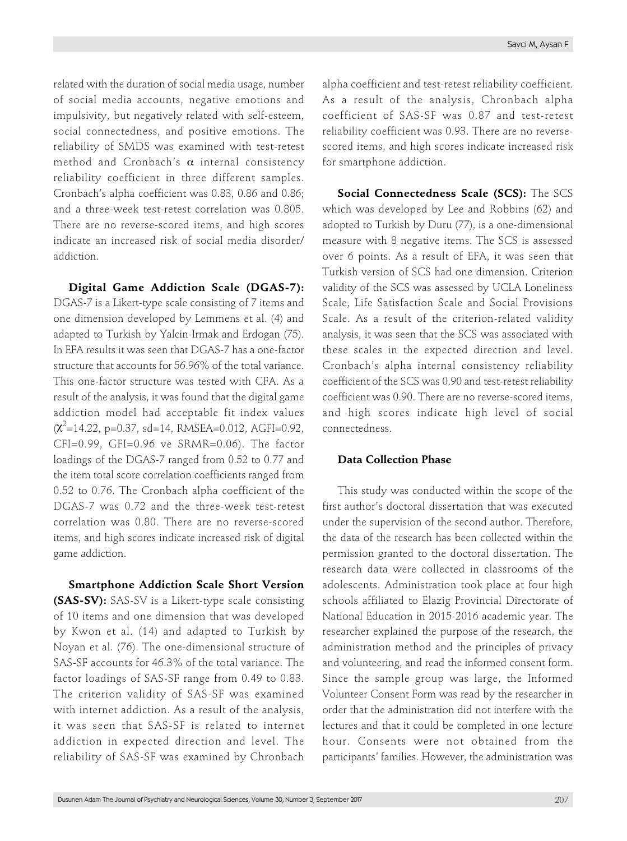related with the duration of social media usage, number of social media accounts, negative emotions and impulsivity, but negatively related with self-esteem, social connectedness, and positive emotions. The reliability of SMDS was examined with test-retest method and Cronbach's  $\alpha$  internal consistency reliability coefficient in three different samples. Cronbach's alpha coefficient was 0.83, 0.86 and 0.86; and a three-week test-retest correlation was 0.805. There are no reverse-scored items, and high scores indicate an increased risk of social media disorder/ addiction.

**Digital Game Addiction Scale (DGAS-7):** DGAS-7 is a Likert-type scale consisting of 7 items and one dimension developed by Lemmens et al. (4) and adapted to Turkish by Yalcin-Irmak and Erdogan (75). In EFA results it was seen that DGAS-7 has a one-factor structure that accounts for 56.96% of the total variance. This one-factor structure was tested with CFA. As a result of the analysis, it was found that the digital game addiction model had acceptable fit index values  $(\chi^2$ =14.22, p=0.37, sd=14, RMSEA=0.012, AGFI=0.92, CFI=0.99, GFI=0.96 ve SRMR=0.06). The factor loadings of the DGAS-7 ranged from 0.52 to 0.77 and the item total score correlation coefficients ranged from 0.52 to 0.76. The Cronbach alpha coefficient of the DGAS-7 was 0.72 and the three-week test-retest correlation was 0.80. There are no reverse-scored items, and high scores indicate increased risk of digital game addiction.

**Smartphone Addiction Scale Short Version (SAS-SV):** SAS-SV is a Likert-type scale consisting of 10 items and one dimension that was developed by Kwon et al. (14) and adapted to Turkish by Noyan et al. (76). The one-dimensional structure of SAS-SF accounts for 46.3% of the total variance. The factor loadings of SAS-SF range from 0.49 to 0.83. The criterion validity of SAS-SF was examined with internet addiction. As a result of the analysis, it was seen that SAS-SF is related to internet addiction in expected direction and level. The reliability of SAS-SF was examined by Chronbach

alpha coefficient and test-retest reliability coefficient. As a result of the analysis, Chronbach alpha coefficient of SAS-SF was 0.87 and test-retest reliability coefficient was 0.93. There are no reversescored items, and high scores indicate increased risk for smartphone addiction.

**Social Connectedness Scale (SCS):** The SCS which was developed by Lee and Robbins (62) and adopted to Turkish by Duru (77), is a one-dimensional measure with 8 negative items. The SCS is assessed over 6 points. As a result of EFA, it was seen that Turkish version of SCS had one dimension. Criterion validity of the SCS was assessed by UCLA Loneliness Scale, Life Satisfaction Scale and Social Provisions Scale. As a result of the criterion-related validity analysis, it was seen that the SCS was associated with these scales in the expected direction and level. Cronbach's alpha internal consistency reliability coefficient of the SCS was 0.90 and test-retest reliability coefficient was 0.90. There are no reverse-scored items, and high scores indicate high level of social connectedness.

## **Data Collection Phase**

This study was conducted within the scope of the first author's doctoral dissertation that was executed under the supervision of the second author. Therefore, the data of the research has been collected within the permission granted to the doctoral dissertation. The research data were collected in classrooms of the adolescents. Administration took place at four high schools affiliated to Elazig Provincial Directorate of National Education in 2015-2016 academic year. The researcher explained the purpose of the research, the administration method and the principles of privacy and volunteering, and read the informed consent form. Since the sample group was large, the Informed Volunteer Consent Form was read by the researcher in order that the administration did not interfere with the lectures and that it could be completed in one lecture hour. Consents were not obtained from the participants' families. However, the administration was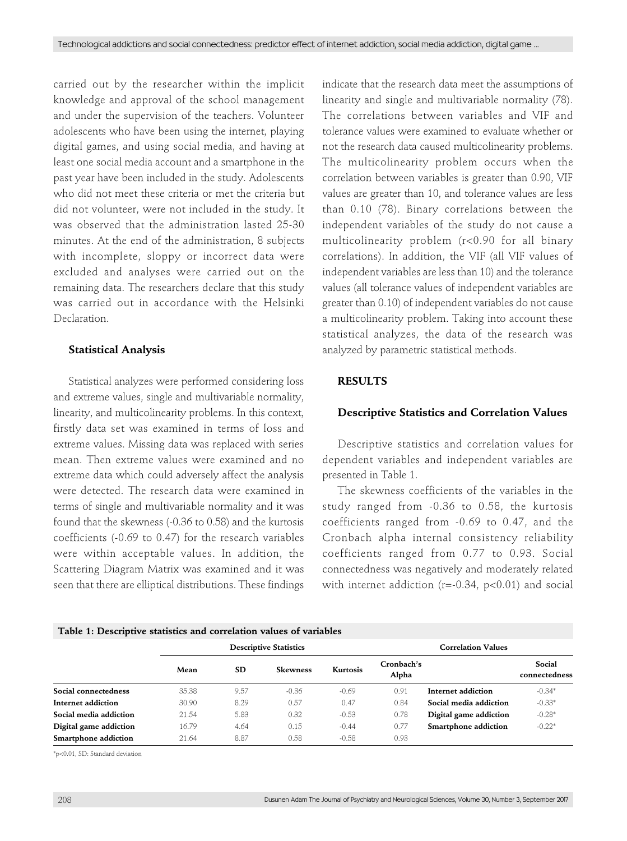carried out by the researcher within the implicit knowledge and approval of the school management and under the supervision of the teachers. Volunteer adolescents who have been using the internet, playing digital games, and using social media, and having at least one social media account and a smartphone in the past year have been included in the study. Adolescents who did not meet these criteria or met the criteria but did not volunteer, were not included in the study. It was observed that the administration lasted 25-30 minutes. At the end of the administration, 8 subjects with incomplete, sloppy or incorrect data were excluded and analyses were carried out on the remaining data. The researchers declare that this study was carried out in accordance with the Helsinki Declaration.

## **Statistical Analysis**

Statistical analyzes were performed considering loss and extreme values, single and multivariable normality, linearity, and multicolinearity problems. In this context, firstly data set was examined in terms of loss and extreme values. Missing data was replaced with series mean. Then extreme values were examined and no extreme data which could adversely affect the analysis were detected. The research data were examined in terms of single and multivariable normality and it was found that the skewness (-0.36 to 0.58) and the kurtosis coefficients (-0.69 to 0.47) for the research variables were within acceptable values. In addition, the Scattering Diagram Matrix was examined and it was seen that there are elliptical distributions. These findings indicate that the research data meet the assumptions of linearity and single and multivariable normality (78). The correlations between variables and VIF and tolerance values were examined to evaluate whether or not the research data caused multicolinearity problems. The multicolinearity problem occurs when the correlation between variables is greater than 0.90, VIF values are greater than 10, and tolerance values are less than 0.10 (78). Binary correlations between the independent variables of the study do not cause a multicolinearity problem (r<0.90 for all binary correlations). In addition, the VIF (all VIF values of independent variables are less than 10) and the tolerance values (all tolerance values of independent variables are greater than 0.10) of independent variables do not cause a multicolinearity problem. Taking into account these statistical analyzes, the data of the research was analyzed by parametric statistical methods.

### **RESULTS**

#### **Descriptive Statistics and Correlation Values**

Descriptive statistics and correlation values for dependent variables and independent variables are presented in Table 1.

The skewness coefficients of the variables in the study ranged from -0.36 to 0.58, the kurtosis coefficients ranged from -0.69 to 0.47, and the Cronbach alpha internal consistency reliability coefficients ranged from 0.77 to 0.93. Social connectedness was negatively and moderately related with internet addiction ( $r = -0.34$ ,  $p < 0.01$ ) and social

#### **Table 1: Descriptive statistics and correlation values of variables**

| <b>Descriptive Statistics</b> |           |                 | <b>Correlation Values</b> |                     |                        |                         |
|-------------------------------|-----------|-----------------|---------------------------|---------------------|------------------------|-------------------------|
| Mean                          | <b>SD</b> | <b>Skewness</b> | Kurtosis                  | Cronbach's<br>Alpha |                        | Social<br>connectedness |
| 35.38                         | 9.57      | $-0.36$         | $-0.69$                   | 0.91                | Internet addiction     | $-0.34*$                |
| 30.90                         | 8.29      | 0.57            | 0.47                      | 0.84                | Social media addiction | $-0.33*$                |
| 21.54                         | 5.83      | 0.32            | $-0.53$                   | 0.78                | Digital game addiction | $-0.28*$                |
| 16.79                         | 4.64      | 0.15            | $-0.44$                   | 0.77                | Smartphone addiction   | $-0.22*$                |
| 21.64                         | 8.87      | 0.58            | $-0.58$                   | 0.93                |                        |                         |
|                               |           |                 |                           |                     |                        |                         |

\*p<0.01, SD: Standard deviation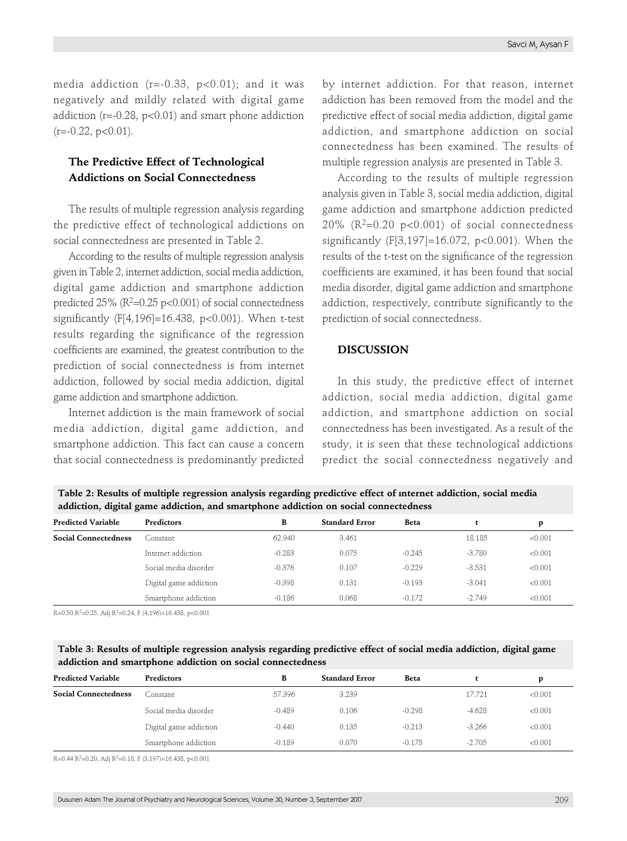media addiction ( $r=-0.33$ ,  $p<0.01$ ); and it was negatively and mildly related with digital game addiction ( $r = -0.28$ ,  $p < 0.01$ ) and smart phone addiction  $(r=-0.22, p<0.01)$ .

# **The Predictive Effect of Technological Addictions on Social Connectedness**

The results of multiple regression analysis regarding the predictive effect of technological addictions on social connectedness are presented in Table 2.

According to the results of multiple regression analysis given in Table 2, internet addiction, social media addiction, digital game addiction and smartphone addiction predicted  $25\%$  ( $R^2=0.25$  p<0.001) of social connectedness significantly (F[4,196]=16.438, p<0.001). When t-test results regarding the significance of the regression coefficients are examined, the greatest contribution to the prediction of social connectedness is from internet addiction, followed by social media addiction, digital game addiction and smartphone addiction.

Internet addiction is the main framework of social media addiction, digital game addiction, and smartphone addiction. This fact can cause a concern that social connectedness is predominantly predicted by internet addiction. For that reason, internet addiction has been removed from the model and the predictive effect of social media addiction, digital game addiction, and smartphone addiction on social connectedness has been examined. The results of multiple regression analysis are presented in Table 3.

According to the results of multiple regression analysis given in Table 3, social media addiction, digital game addiction and smartphone addiction predicted 20% ( $R^2$ =0.20 p<0.001) of social connectedness significantly (F[3,197]=16.072, p<0.001). When the results of the t-test on the significance of the regression coefficients are examined, it has been found that social media disorder, digital game addiction and smartphone addiction, respectively, contribute significantly to the prediction of social connectedness.

## **DISCUSSION**

In this study, the predictive effect of internet addiction, social media addiction, digital game addiction, and smartphone addiction on social connectedness has been investigated. As a result of the study, it is seen that these technological addictions predict the social connectedness negatively and

**Table 2: Results of multiple regression analysis regarding predictive effect of ınternet addiction, social media addiction, digital game addiction, and smartphone addiction on social connectedness**

| <b>Predicted Variable</b>   | Predictors             | в        | <b>Standard Error</b> | Beta     |          | D       |
|-----------------------------|------------------------|----------|-----------------------|----------|----------|---------|
| <b>Social Connectedness</b> | Constant               | 62.940   | 3.461                 |          | 18.185   | < 0.001 |
|                             | Internet addiction     | $-0.283$ | 0.075                 | $-0.245$ | $-3.780$ | < 0.001 |
|                             | Social media disorder  | $-0.376$ | 0.107                 | $-0.229$ | $-3.531$ | < 0.001 |
|                             | Digital game addiction | $-0.398$ | 0.131                 | $-0.193$ | $-3.041$ | < 0.001 |
|                             | Smartphone addiction   | $-0.186$ | 0.068                 | $-0.172$ | $-2.749$ | < 0.001 |

R=0.50 R<sup>2</sup>=0.25, Adj R<sup>2</sup>=0.24, F (4,196)=16.438, p<0.001

## **Table 3: Results of multiple regression analysis regarding predictive effect of social media addiction, digital game addiction and smartphone addiction on social connectedness**

| <b>Predicted Variable</b>   | Predictors             | В        | <b>Standard Error</b> | Beta     |          | p       |
|-----------------------------|------------------------|----------|-----------------------|----------|----------|---------|
| <b>Social Connectedness</b> | Constant               | 57.396   | 3.239                 |          | 17.721   | < 0.001 |
|                             | Social media disorder  | $-0.489$ | 0.106                 | $-0.298$ | $-4.628$ | < 0.001 |
|                             | Digital game addiction | $-0.440$ | 0.135                 | $-0.213$ | $-3.266$ | < 0.001 |
|                             | Smartphone addiction   | $-0.189$ | 0.070                 | $-0.175$ | $-2.705$ | < 0.001 |

R=0.44 R<sup>2</sup>=0.20, Adj R<sup>2</sup>=0.18, F (3,197)=16.438, p<0.001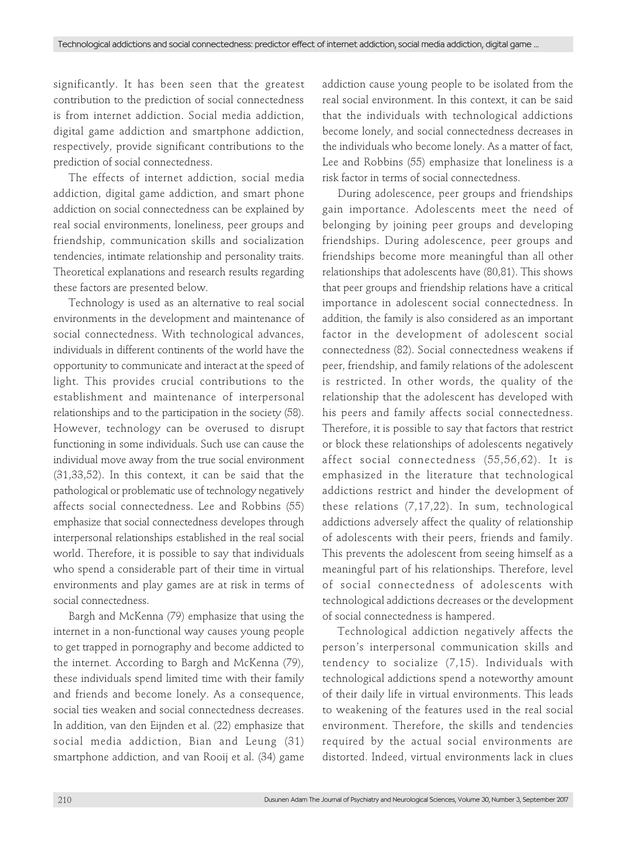significantly. It has been seen that the greatest contribution to the prediction of social connectedness is from internet addiction. Social media addiction, digital game addiction and smartphone addiction, respectively, provide significant contributions to the prediction of social connectedness.

The effects of internet addiction, social media addiction, digital game addiction, and smart phone addiction on social connectedness can be explained by real social environments, loneliness, peer groups and friendship, communication skills and socialization tendencies, intimate relationship and personality traits. Theoretical explanations and research results regarding these factors are presented below.

Technology is used as an alternative to real social environments in the development and maintenance of social connectedness. With technological advances, individuals in different continents of the world have the opportunity to communicate and interact at the speed of light. This provides crucial contributions to the establishment and maintenance of interpersonal relationships and to the participation in the society (58). However, technology can be overused to disrupt functioning in some individuals. Such use can cause the individual move away from the true social environment (31,33,52). In this context, it can be said that the pathological or problematic use of technology negatively affects social connectedness. Lee and Robbins (55) emphasize that social connectedness developes through interpersonal relationships established in the real social world. Therefore, it is possible to say that individuals who spend a considerable part of their time in virtual environments and play games are at risk in terms of social connectedness.

Bargh and McKenna (79) emphasize that using the internet in a non-functional way causes young people to get trapped in pornography and become addicted to the internet. According to Bargh and McKenna (79), these individuals spend limited time with their family and friends and become lonely. As a consequence, social ties weaken and social connectedness decreases. In addition, van den Eijnden et al. (22) emphasize that social media addiction, Bian and Leung (31) smartphone addiction, and van Rooij et al. (34) game

addiction cause young people to be isolated from the real social environment. In this context, it can be said that the individuals with technological addictions become lonely, and social connectedness decreases in the individuals who become lonely. As a matter of fact, Lee and Robbins (55) emphasize that loneliness is a risk factor in terms of social connectedness.

During adolescence, peer groups and friendships gain importance. Adolescents meet the need of belonging by joining peer groups and developing friendships. During adolescence, peer groups and friendships become more meaningful than all other relationships that adolescents have (80,81). This shows that peer groups and friendship relations have a critical importance in adolescent social connectedness. In addition, the family is also considered as an important factor in the development of adolescent social connectedness (82). Social connectedness weakens if peer, friendship, and family relations of the adolescent is restricted. In other words, the quality of the relationship that the adolescent has developed with his peers and family affects social connectedness. Therefore, it is possible to say that factors that restrict or block these relationships of adolescents negatively affect social connectedness (55,56,62). It is emphasized in the literature that technological addictions restrict and hinder the development of these relations (7,17,22). In sum, technological addictions adversely affect the quality of relationship of adolescents with their peers, friends and family. This prevents the adolescent from seeing himself as a meaningful part of his relationships. Therefore, level of social connectedness of adolescents with technological addictions decreases or the development of social connectedness is hampered.

Technological addiction negatively affects the person's interpersonal communication skills and tendency to socialize (7,15). Individuals with technological addictions spend a noteworthy amount of their daily life in virtual environments. This leads to weakening of the features used in the real social environment. Therefore, the skills and tendencies required by the actual social environments are distorted. Indeed, virtual environments lack in clues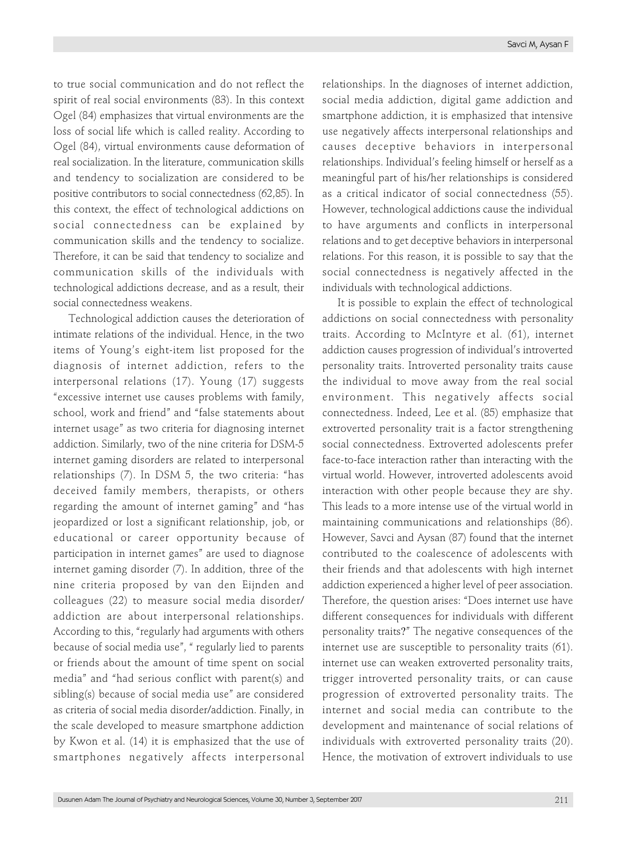to true social communication and do not reflect the spirit of real social environments (83). In this context Ogel (84) emphasizes that virtual environments are the loss of social life which is called reality. According to Ogel (84), virtual environments cause deformation of real socialization. In the literature, communication skills and tendency to socialization are considered to be positive contributors to social connectedness (62,85). In this context, the effect of technological addictions on social connectedness can be explained by communication skills and the tendency to socialize. Therefore, it can be said that tendency to socialize and communication skills of the individuals with technological addictions decrease, and as a result, their social connectedness weakens.

Technological addiction causes the deterioration of intimate relations of the individual. Hence, in the two items of Young's eight-item list proposed for the diagnosis of internet addiction, refers to the interpersonal relations (17). Young (17) suggests "excessive internet use causes problems with family, school, work and friend" and "false statements about internet usage" as two criteria for diagnosing internet addiction. Similarly, two of the nine criteria for DSM-5 internet gaming disorders are related to interpersonal relationships (7). In DSM 5, the two criteria: "has deceived family members, therapists, or others regarding the amount of internet gaming" and "has jeopardized or lost a significant relationship, job, or educational or career opportunity because of participation in internet games" are used to diagnose internet gaming disorder (7). In addition, three of the nine criteria proposed by van den Eijnden and colleagues (22) to measure social media disorder/ addiction are about interpersonal relationships. According to this, "regularly had arguments with others because of social media use", " regularly lied to parents or friends about the amount of time spent on social media" and "had serious conflict with parent(s) and sibling(s) because of social media use" are considered as criteria of social media disorder/addiction. Finally, in the scale developed to measure smartphone addiction by Kwon et al. (14) it is emphasized that the use of smartphones negatively affects interpersonal

relationships. In the diagnoses of internet addiction, social media addiction, digital game addiction and smartphone addiction, it is emphasized that intensive use negatively affects interpersonal relationships and causes deceptive behaviors in interpersonal relationships. Individual's feeling himself or herself as a meaningful part of his/her relationships is considered as a critical indicator of social connectedness (55). However, technological addictions cause the individual to have arguments and conflicts in interpersonal relations and to get deceptive behaviors in interpersonal relations. For this reason, it is possible to say that the social connectedness is negatively affected in the individuals with technological addictions.

It is possible to explain the effect of technological addictions on social connectedness with personality traits. According to McIntyre et al. (61), internet addiction causes progression of individual's introverted personality traits. Introverted personality traits cause the individual to move away from the real social environment. This negatively affects social connectedness. Indeed, Lee et al. (85) emphasize that extroverted personality trait is a factor strengthening social connectedness. Extroverted adolescents prefer face-to-face interaction rather than interacting with the virtual world. However, introverted adolescents avoid interaction with other people because they are shy. This leads to a more intense use of the virtual world in maintaining communications and relationships (86). However, Savci and Aysan (87) found that the internet contributed to the coalescence of adolescents with their friends and that adolescents with high internet addiction experienced a higher level of peer association. Therefore, the question arises: "Does internet use have different consequences for individuals with different personality traits?" The negative consequences of the internet use are susceptible to personality traits (61). internet use can weaken extroverted personality traits, trigger introverted personality traits, or can cause progression of extroverted personality traits. The internet and social media can contribute to the development and maintenance of social relations of individuals with extroverted personality traits (20). Hence, the motivation of extrovert individuals to use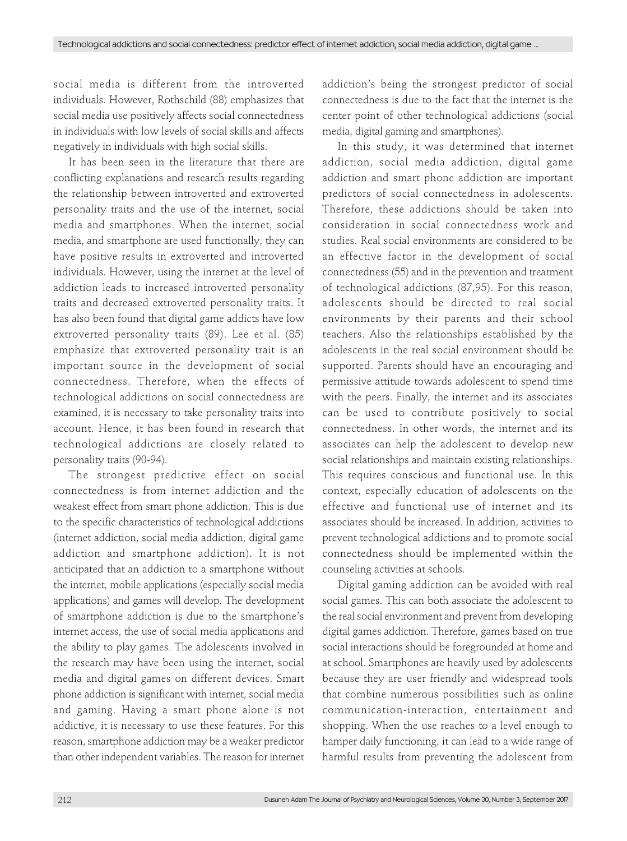social media is different from the introverted individuals. However, Rothschild (88) emphasizes that social media use positively affects social connectedness in individuals with low levels of social skills and affects negatively in individuals with high social skills.

It has been seen in the literature that there are conflicting explanations and research results regarding the relationship between introverted and extroverted personality traits and the use of the internet, social media and smartphones. When the internet, social media, and smartphone are used functionally, they can have positive results in extroverted and introverted individuals. However, using the internet at the level of addiction leads to increased introverted personality traits and decreased extroverted personality traits. It has also been found that digital game addicts have low extroverted personality traits (89). Lee et al. (85) emphasize that extroverted personality trait is an important source in the development of social connectedness. Therefore, when the effects of technological addictions on social connectedness are examined, it is necessary to take personality traits into account. Hence, it has been found in research that technological addictions are closely related to personality traits (90-94).

The strongest predictive effect on social connectedness is from internet addiction and the weakest effect from smart phone addiction. This is due to the specific characteristics of technological addictions (internet addiction, social media addiction, digital game addiction and smartphone addiction). It is not anticipated that an addiction to a smartphone without the internet, mobile applications (especially social media applications) and games will develop. The development of smartphone addiction is due to the smartphone's internet access, the use of social media applications and the ability to play games. The adolescents involved in the research may have been using the internet, social media and digital games on different devices. Smart phone addiction is significant with internet, social media and gaming. Having a smart phone alone is not addictive, it is necessary to use these features. For this reason, smartphone addiction may be a weaker predictor than other independent variables. The reason for internet

addiction's being the strongest predictor of social connectedness is due to the fact that the internet is the center point of other technological addictions (social media, digital gaming and smartphones).

In this study, it was determined that internet addiction, social media addiction, digital game addiction and smart phone addiction are important predictors of social connectedness in adolescents. Therefore, these addictions should be taken into consideration in social connectedness work and studies. Real social environments are considered to be an effective factor in the development of social connectedness (55) and in the prevention and treatment of technological addictions (87,95). For this reason, adolescents should be directed to real social environments by their parents and their school teachers. Also the relationships established by the adolescents in the real social environment should be supported. Parents should have an encouraging and permissive attitude towards adolescent to spend time with the peers. Finally, the internet and its associates can be used to contribute positively to social connectedness. In other words, the internet and its associates can help the adolescent to develop new social relationships and maintain existing relationships. This requires conscious and functional use. In this context, especially education of adolescents on the effective and functional use of internet and its associates should be increased. In addition, activities to prevent technological addictions and to promote social connectedness should be implemented within the counseling activities at schools.

Digital gaming addiction can be avoided with real social games. This can both associate the adolescent to the real social environment and prevent from developing digital games addiction. Therefore, games based on true social interactions should be foregrounded at home and at school. Smartphones are heavily used by adolescents because they are user friendly and widespread tools that combine numerous possibilities such as online communication-interaction, entertainment and shopping. When the use reaches to a level enough to hamper daily functioning, it can lead to a wide range of harmful results from preventing the adolescent from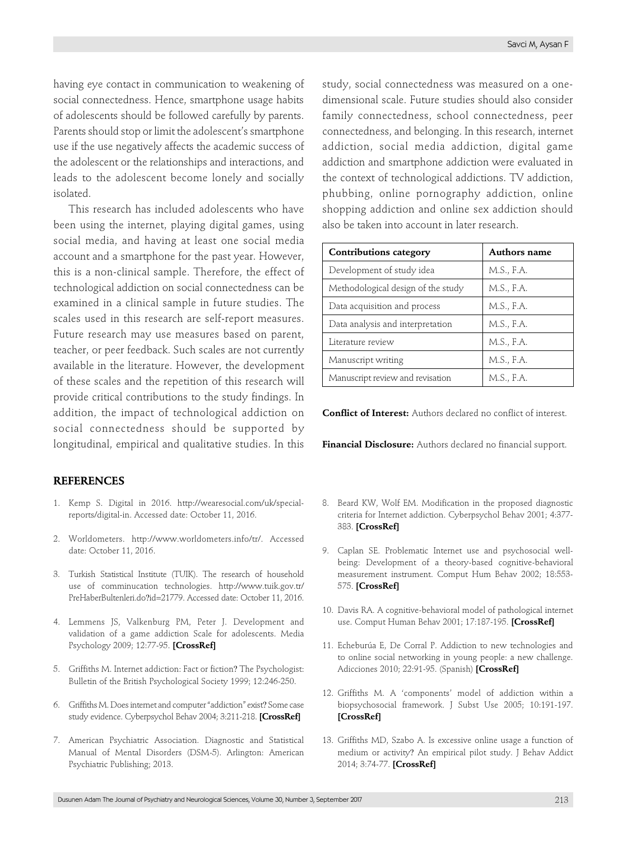having eye contact in communication to weakening of social connectedness. Hence, smartphone usage habits of adolescents should be followed carefully by parents. Parents should stop or limit the adolescent's smartphone use if the use negatively affects the academic success of the adolescent or the relationships and interactions, and leads to the adolescent become lonely and socially isolated.

This research has included adolescents who have been using the internet, playing digital games, using social media, and having at least one social media account and a smartphone for the past year. However, this is a non-clinical sample. Therefore, the effect of technological addiction on social connectedness can be examined in a clinical sample in future studies. The scales used in this research are self-report measures. Future research may use measures based on parent, teacher, or peer feedback. Such scales are not currently available in the literature. However, the development of these scales and the repetition of this research will provide critical contributions to the study findings. In addition, the impact of technological addiction on social connectedness should be supported by longitudinal, empirical and qualitative studies. In this

## **REFERENCES**

- 1. Kemp S. Digital in 2016. http://wearesocial.com/uk/specialreports/digital-in. Accessed date: October 11, 2016.
- 2. Worldometers. http://www.worldometers.info/tr/. Accessed date: October 11, 2016.
- 3. Turkish Statistical Institute (TUIK). The research of household use of comminucation technologies. http://www.tuik.gov.tr/ PreHaberBultenleri.do?id=21779. Accessed date: October 11, 2016.
- 4. Lemmens JS, Valkenburg PM, Peter J. Development and validation of a game addiction Scale for adolescents. Media Psychology 2009; 12:77-95. **[\[CrossRef\]](https://doi.org/10.1080/15213260802669458)**
- 5. Griffiths M. Internet addiction: Fact or fiction? The Psychologist: Bulletin of the British Psychological Society 1999; 12:246-250.
- 6. Griffiths M. Does internet and computer "addiction" exist? Some case study evidence. Cyberpsychol Behav 2004; 3:211-218. **[\[CrossRef\]](https://doi.org/10.1089/109493100316067)**
- 7. American Psychiatric Association. Diagnostic and Statistical Manual of Mental Disorders (DSM-5). Arlington: American Psychiatric Publishing; 2013.

study, social connectedness was measured on a onedimensional scale. Future studies should also consider family connectedness, school connectedness, peer connectedness, and belonging. In this research, internet addiction, social media addiction, digital game addiction and smartphone addiction were evaluated in the context of technological addictions. TV addiction, phubbing, online pornography addiction, online shopping addiction and online sex addiction should also be taken into account in later research.

| <b>Contributions category</b>      | Authors name |  |  |
|------------------------------------|--------------|--|--|
| Development of study idea          | M.S., F.A.   |  |  |
| Methodological design of the study | M.S., F.A.   |  |  |
| Data acquisition and process       | M.S., F.A.   |  |  |
| Data analysis and interpretation   | M.S., F.A.   |  |  |
| Literature review                  | M.S., F.A.   |  |  |
| Manuscript writing                 | M.S., F.A.   |  |  |
| Manuscript review and revisation   | M.S., F.A.   |  |  |

**Conflict of Interest:** Authors declared no conflict of interest.

**Financial Disclosure:** Authors declared no financial support.

- 8. Beard KW, Wolf EM. Modification in the proposed diagnostic criteria for Internet addiction. Cyberpsychol Behav 2001; 4:377- 383. **[\[CrossRef\]](https://doi.org/10.1089/109493101300210286)**
- 9. Caplan SE. Problematic Internet use and psychosocial wellbeing: Development of a theory-based cognitive-behavioral measurement instrument. Comput Hum Behav 2002; 18:553- 575. **[\[CrossRef\]](https://doi.org/10.1016/S0747-5632(02)00004-3)**
- 10. Davis RA. A cognitive-behavioral model of pathological internet use. Comput Human Behav 2001; 17:187-195. **[\[CrossRef\]](https://doi.org/10.1016/S0747-5632(00)00041-8)**
- 11. Echeburúa E, De Corral P. Addiction to new technologies and to online social networking in young people: a new challenge. Adicciones 2010; 22:91-95. (Spanish) **[\[CrossRef\]](https://doi.org/10.20882/adicciones.196)**
- 12. Griffiths M. A 'components' model of addiction within a biopsychosocial framework. J Subst Use 2005; 10:191-197. **[\[CrossRef\]](https://doi.org/10.1080/14659890500114359)**
- 13. Griffiths MD, Szabo A. Is excessive online usage a function of medium or activity? An empirical pilot study. J Behav Addict 2014; 3:74-77. **[\[CrossRef\]](https://doi.org/10.1556/JBA.2.2013.016)**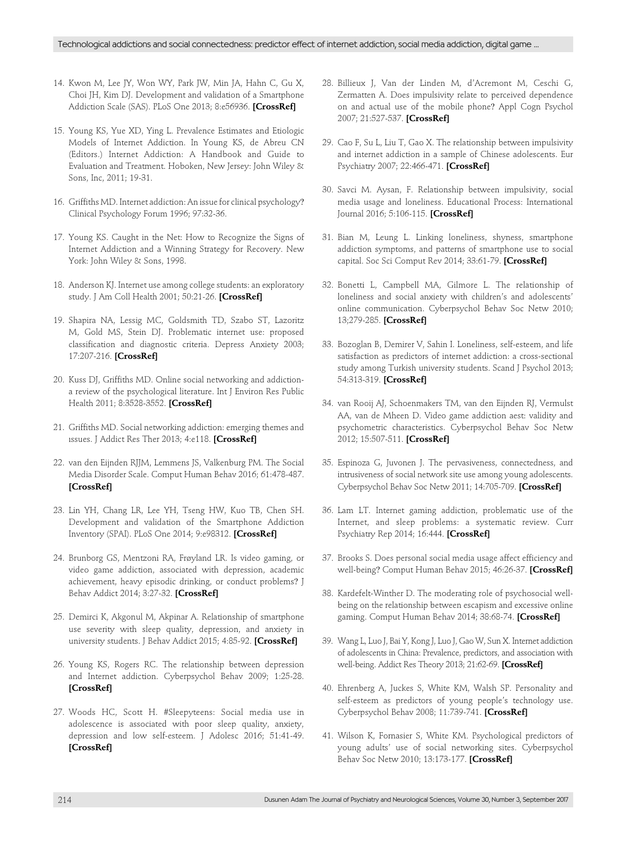- 14. Kwon M, Lee JY, Won WY, Park JW, Min JA, Hahn C, Gu X, Choi JH, Kim DJ. Development and validation of a Smartphone Addiction Scale (SAS). PLoS One 2013; 8:e56936. **[\[CrossRef\]](https://doi.org/10.1371/journal.pone.0056936)**
- 15. Young KS, Yue XD, Ying L. Prevalence Estimates and Etiologic Models of Internet Addiction. In Young KS, de Abreu CN (Editors.) Internet Addiction: A Handbook and Guide to Evaluation and Treatment. Hoboken, New Jersey: John Wiley & Sons, Inc, 2011; 19-31.
- 16. Griffiths MD. Internet addiction: An issue for clinical psychology? Clinical Psychology Forum 1996; 97:32-36.
- 17. Young KS. Caught in the Net: How to Recognize the Signs of Internet Addiction and a Winning Strategy for Recovery. New York: John Wiley & Sons, 1998.
- 18. Anderson KJ. Internet use among college students: an exploratory study. J Am Coll Health 2001; 50:21-26. **[\[CrossRef\]](https://doi.org/10.1080/07448480109595707)**
- 19. Shapira NA, Lessig MC, Goldsmith TD, Szabo ST, Lazoritz M, Gold MS, Stein DJ. Problematic internet use: proposed classification and diagnostic criteria. Depress Anxiety 2003; 17:207-216. **[\[CrossRef\]](https://doi.org/10.1002/da.10094)**
- 20. Kuss DJ, Griffiths MD. Online social networking and addictiona review of the psychological literature. Int J Environ Res Public Health 2011; 8:3528-3552. **[\[CrossRef\]](https://doi.org/10.3390/ijerph8093528)**
- 21. Griffiths MD. Social networking addiction: emerging themes and ıssues. J Addict Res Ther 2013; 4:e118. **[\[CrossRef\]](https://doi.org/10.4172/2155-6105.1000e118)**
- 22. van den Eijnden RJJM, Lemmens JS, Valkenburg PM. The Social Media Disorder Scale. Comput Human Behav 2016; 61:478-487. **[\[CrossRef\]](https://doi.org/10.1016/j.chb.2016.03.038)**
- 23. Lin YH, Chang LR, Lee YH, Tseng HW, Kuo TB, Chen SH. Development and validation of the Smartphone Addiction Inventory (SPAI). PLoS One 2014; 9:e98312. **[\[CrossRef\]](https://doi.org/10.1371/journal.pone.0098312)**
- 24. Brunborg GS, Mentzoni RA, Frøyland LR. Is video gaming, or video game addiction, associated with depression, academic achievement, heavy episodic drinking, or conduct problems? J Behav Addict 2014; 3:27-32. **[\[CrossRef\]](https://doi.org/10.1556/JBA.3.2014.002)**
- 25. Demirci K, Akgonul M, Akpinar A. Relationship of smartphone use severity with sleep quality, depression, and anxiety in university students. J Behav Addict 2015; 4:85-92. **[\[CrossRef\]](https://doi.org/10.1556/2006.4.2015.010)**
- 26. Young KS, Rogers RC. The relationship between depression and Internet addiction. Cyberpsychol Behav 2009; 1:25-28. **[\[CrossRef\]](https://doi.org/10.1089/cpb.1998.1.25)**
- 27. Woods HC, Scott H. #Sleepyteens: Social media use in adolescence is associated with poor sleep quality, anxiety, depression and low self-esteem. J Adolesc 2016; 51:41-49. **[\[CrossRef\]](https://doi.org/10.1016/j.adolescence.2016.05.008)**
- 28. Billieux J, Van der Linden M, d'Acremont M, Ceschi G, Zermatten A. Does impulsivity relate to perceived dependence on and actual use of the mobile phone? Appl Cogn Psychol 2007; 21:527-537. **[\[CrossRef\]](https://doi.org/10.1002/acp.1289)**
- 29. Cao F, Su L, Liu T, Gao X. The relationship between impulsivity and internet addiction in a sample of Chinese adolescents. Eur Psychiatry 2007; 22:466-471. **[\[CrossRef\]](https://doi.org/10.1016/j.eurpsy.2007.05.004)**
- 30. Savci M. Aysan, F. Relationship between impulsivity, social media usage and loneliness. Educational Process: International Journal 2016; 5:106-115. **[\[CrossRef\]](https://doi.org/10.12973/edupij.2016.52.2)**
- 31. Bian M, Leung L. Linking loneliness, shyness, smartphone addiction symptoms, and patterns of smartphone use to social capital. Soc Sci Comput Rev 2014; 33:61-79. **[\[CrossRef\]](https://doi.org/10.1177/0894439314528779)**
- 32. Bonetti L, Campbell MA, Gilmore L. The relationship of loneliness and social anxiety with children's and adolescents' online communication. Cyberpsychol Behav Soc Netw 2010; 13;279-285. **[\[CrossRef\]](https://doi.org/10.1089/cyber.2009.0215)**
- 33. Bozoglan B, Demirer V, Sahin I. Loneliness, self-esteem, and life satisfaction as predictors of internet addiction: a cross-sectional study among Turkish university students. Scand J Psychol 2013; 54:313-319. **[\[CrossRef\]](https://doi.org/10.1111/sjop.12049)**
- 34. van Rooij AJ, Schoenmakers TM, van den Eijnden RJ, Vermulst AA, van de Mheen D. Video game addiction aest: validity and psychometric characteristics. Cyberpsychol Behav Soc Netw 2012; 15:507-511. **[\[CrossRef\]](https://doi.org/10.1089/cyber.2012.0007)**
- 35. Espinoza G, Juvonen J. The pervasiveness, connectedness, and intrusiveness of social network site use among young adolescents. Cyberpsychol Behav Soc Netw 2011; 14:705-709. **[\[CrossRef\]](https://doi.org/10.1089/cyber.2010.0492)**
- 36. Lam LT. Internet gaming addiction, problematic use of the Internet, and sleep problems: a systematic review. Curr Psychiatry Rep 2014; 16:444. **[\[CrossRef\]](https://doi.org/10.1007/s11920-014-0444-1)**
- 37. Brooks S. Does personal social media usage affect efficiency and well-being? Comput Human Behav 2015; 46:26-37. **[\[CrossRef\]](https://doi.org/10.1016/j.chb.2014.12.053)**
- 38. Kardefelt-Winther D. The moderating role of psychosocial wellbeing on the relationship between escapism and excessive online gaming. Comput Human Behav 2014; 38:68-74. **[\[CrossRef\]](https://doi.org/10.1016/j.chb.2014.05.020)**
- 39. Wang L, Luo J, Bai Y, Kong J, Luo J, Gao W, Sun X. Internet addiction of adolescents in China: Prevalence, predictors, and association with well-being. Addict Res Theory 2013; 21:62-69. **[\[CrossRef\]](https://doi.org/10.3109/16066359.2012.690053)**
- 40. Ehrenberg A, Juckes S, White KM, Walsh SP. Personality and self-esteem as predictors of young people's technology use. Cyberpsychol Behav 2008; 11:739-741. **[\[CrossRef\]](https://doi.org/10.1089/cpb.2008.0030)**
- 41. Wilson K, Fornasier S, White KM. Psychological predictors of young adults' use of social networking sites. Cyberpsychol Behav Soc Netw 2010; 13:173-177. **[\[CrossRef\]](https://doi.org/10.1089/cyber.2009.0094)**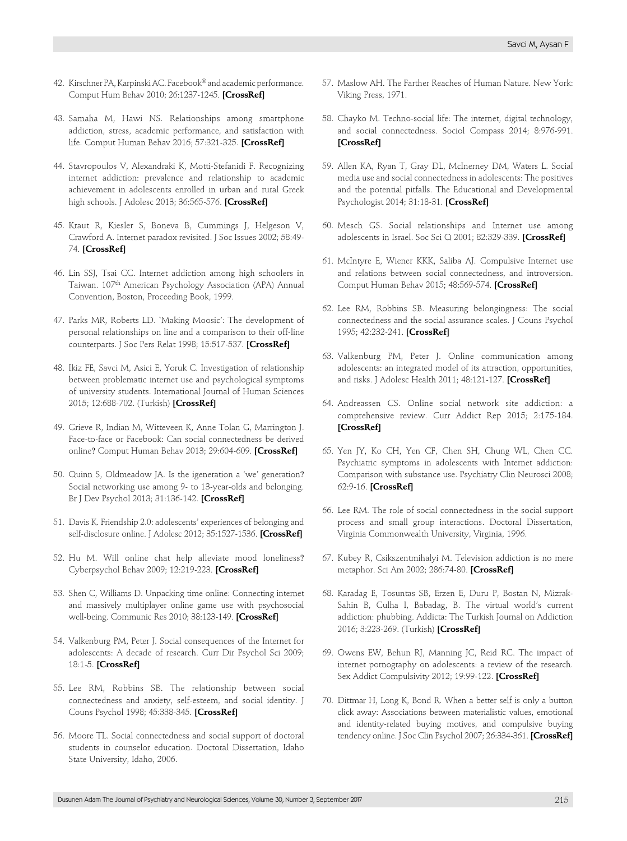- 42. Kirschner PA, Karpinski AC. Facebook® and academic performance. Comput Hum Behav 2010; 26:1237-1245. **[\[CrossRef\]](https://doi.org/10.1016/j.chb.2010.03.024)**
- 43. Samaha M, Hawi NS. Relationships among smartphone addiction, stress, academic performance, and satisfaction with life. Comput Human Behav 2016; 57:321-325. **[\[CrossRef\]](https://doi.org/10.1016/j.chb.2015.12.045)**
- 44. Stavropoulos V, Alexandraki K, Motti-Stefanidi F. Recognizing internet addiction: prevalence and relationship to academic achievement in adolescents enrolled in urban and rural Greek high schools. J Adolesc 2013; 36:565-576. **[\[CrossRef\]](https://doi.org/10.1016/j.adolescence.2013.03.008)**
- 45. Kraut R, Kiesler S, Boneva B, Cummings J, Helgeson V, Crawford A. Internet paradox revisited. J Soc Issues 2002; 58:49- 74. **[\[CrossRef\]](https://doi.org/10.1111/1540-4560.00248)**
- 46. Lin SSJ, Tsai CC. Internet addiction among high schoolers in Taiwan. 107<sup>th</sup> American Psychology Association (APA) Annual Convention, Boston, Proceeding Book, 1999.
- 47. Parks MR, Roberts LD. `Making Moosic': The development of personal relationships on line and a comparison to their off-line counterparts. J Soc Pers Relat 1998; 15:517-537. **[\[CrossRef\]](https://doi.org/10.1177/0265407598154005)**
- 48. Ikiz FE, Savci M, Asici E, Yoruk C. Investigation of relationship between problematic internet use and psychological symptoms of university students. International Journal of Human Sciences 2015; 12:688-702. (Turkish) **[\[CrossRef\]](https://doi.org/10.14687/ijhs.v12i2.3336)**
- 49. Grieve R, Indian M, Witteveen K, Anne Tolan G, Marrington J. Face-to-face or Facebook: Can social connectedness be derived online? Comput Human Behav 2013; 29:604-609. **[\[CrossRef\]](https://doi.org/10.1016/j.chb.2012.11.017)**
- 50. Quinn S, Oldmeadow JA. Is the igeneration a 'we' generation? Social networking use among 9- to 13-year-olds and belonging. Br J Dev Psychol 2013; 31:136-142. **[\[CrossRef\]](https://doi.org/10.1111/bjdp.12007)**
- 51. Davis K. Friendship 2.0: adolescents' experiences of belonging and self-disclosure online. J Adolesc 2012; 35:1527-1536. **[\[CrossRef\]](https://doi.org/10.1016/j.adolescence.2012.02.013)**
- 52. Hu M. Will online chat help alleviate mood loneliness? Cyberpsychol Behav 2009; 12:219-223. **[\[CrossRef\]](https://doi.org/10.1089/cpb.2008.0134)**
- 53. Shen C, Williams D. Unpacking time online: Connecting internet and massively multiplayer online game use with psychosocial well-being. Communic Res 2010; 38:123-149. **[\[CrossRef\]](https://doi.org/10.1177/0093650210377196)**
- 54. Valkenburg PM, Peter J. Social consequences of the Internet for adolescents: A decade of research. Curr Dir Psychol Sci 2009; 18:1-5. **[\[CrossRef\]](https://doi.org/10.1111/j.1467-8721.2009.01595.x)**
- 55. Lee RM, Robbins SB. The relationship between social connectedness and anxiety, self-esteem, and social identity. J Couns Psychol 1998; 45:338-345. **[\[CrossRef\]](https://doi.org/10.1037/0022-0167.45.3.338)**
- 56. Moore TL. Social connectedness and social support of doctoral students in counselor education. Doctoral Dissertation, Idaho State University, Idaho, 2006.
- 57. Maslow AH. The Farther Reaches of Human Nature. New York: Viking Press, 1971.
- 58. Chayko M. Techno-social life: The internet, digital technology, and social connectedness. Sociol Compass 2014; 8:976-991. **[\[CrossRef\]](https://doi.org/10.1111/soc4.12190)**
- 59. Allen KA, Ryan T, Gray DL, McInerney DM, Waters L. Social media use and social connectedness in adolescents: The positives and the potential pitfalls. The Educational and Developmental Psychologist 2014; 31:18-31. **[\[CrossRef\]](https://doi.org/10.1017/edp.2014.2)**
- 60. Mesch GS. Social relationships and Internet use among adolescents in Israel. Soc Sci Q 2001; 82:329-339. **[\[CrossRef\]](https://doi.org/10.1111/0038-4941.00026)**
- 61. McIntyre E, Wiener KKK, Saliba AJ. Compulsive Internet use and relations between social connectedness, and introversion. Comput Human Behav 2015; 48:569-574. **[\[CrossRef\]](https://doi.org/10.1016/j.chb.2015.02.021)**
- 62. Lee RM, Robbins SB. Measuring belongingness: The social connectedness and the social assurance scales. J Couns Psychol 1995; 42:232-241. **[\[CrossRef\]](https://doi.org/10.1037/0022-0167.42.2.232)**
- 63. Valkenburg PM, Peter J. Online communication among adolescents: an integrated model of its attraction, opportunities, and risks. J Adolesc Health 2011; 48:121-127. **[\[CrossRef\]](https://doi.org/10.1016/j.jadohealth.2010.08.020)**
- 64. Andreassen CS. Online social network site addiction: a comprehensive review. Curr Addict Rep 2015; 2:175-184. **[\[CrossRef\]](https://doi.org/10.1007/s40429-015-0056-9)**
- 65. Yen JY, Ko CH, Yen CF, Chen SH, Chung WL, Chen CC. Psychiatric symptoms in adolescents with Internet addiction: Comparison with substance use. Psychiatry Clin Neurosci 2008; 62:9-16. **[\[CrossRef\]](https://doi.org/10.1111/j.1440-1819.2007.01770.x)**
- 66. Lee RM. The role of social connectedness in the social support process and small group interactions. Doctoral Dissertation, Virginia Commonwealth University, Virginia, 1996.
- 67. Kubey R, Csikszentmihalyi M. Television addiction is no mere metaphor. Sci Am 2002; 286:74-80. **[\[CrossRef\]](https://doi.org/10.1038/scientificamerican0202-74)**
- 68. Karadag E, Tosuntas SB, Erzen E, Duru P, Bostan N, Mizrak-Sahin B, Culha I, Babadag, B. The virtual world's current addiction: phubbing. Addicta: The Turkish Journal on Addiction 2016; 3:223-269. (Turkish) **[\[CrossRef\]](https://doi.org/10.15805/addicta.2016.3.0013)**
- 69. Owens EW, Behun RJ, Manning JC, Reid RC. The impact of internet pornography on adolescents: a review of the research. Sex Addict Compulsivity 2012; 19:99-122. **[\[CrossRef\]](https://doi.org/10.1080/10720162.2012.660431)**
- 70. Dittmar H, Long K, Bond R. When a better self is only a button click away: Associations between materialistic values, emotional and identity-related buying motives, and compulsive buying tendency online. J Soc Clin Psychol 2007; 26:334-361. **[\[CrossRef\]](https://doi.org/10.1521/jscp.2007.26.3.334)**